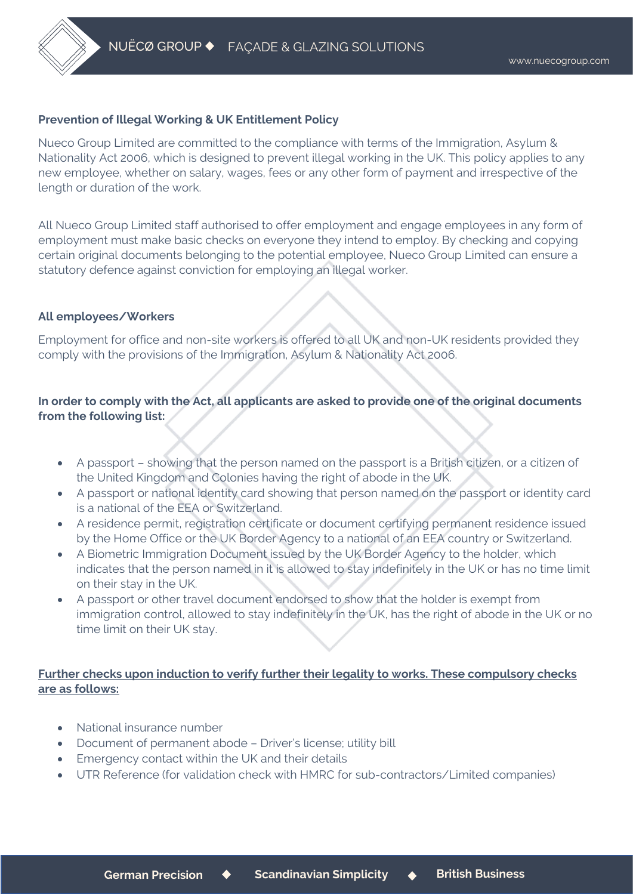

#### **Prevention of Illegal Working & UK Entitlement Policy**

Nueco Group Limited are committed to the compliance with terms of the Immigration, Asylum & Nationality Act 2006, which is designed to prevent illegal working in the UK. This policy applies to any new employee, whether on salary, wages, fees or any other form of payment and irrespective of the length or duration of the work.

All Nueco Group Limited staff authorised to offer employment and engage employees in any form of employment must make basic checks on everyone they intend to employ. By checking and copying certain original documents belonging to the potential employee, Nueco Group Limited can ensure a statutory defence against conviction for employing an illegal worker.

#### **All employees/Workers**

Employment for office and non-site workers is offered to all UK and non-UK residents provided they comply with the provisions of the Immigration, Asylum & Nationality Act 2006.

# **In order to comply with the Act, all applicants are asked to provide one of the original documents from the following list:**

- A passport showing that the person named on the passport is a British citizen, or a citizen of the United Kingdom and Colonies having the right of abode in the UK.
- A passport or national identity card showing that person named on the passport or identity card is a national of the EEA or Switzerland.
- A residence permit, registration certificate or document certifying permanent residence issued by the Home Office or the UK Border Agency to a national of an EEA country or Switzerland.
- A Biometric Immigration Document issued by the UK Border Agency to the holder, which indicates that the person named in it is allowed to stay indefinitely in the UK or has no time limit on their stay in the UK.
- A passport or other travel document endorsed to show that the holder is exempt from immigration control, allowed to stay indefinitely in the UK, has the right of abode in the UK or no time limit on their UK stay.

### **Further checks upon induction to verify further their legality to works. These compulsory checks are as follows:**

- National insurance number
- Document of permanent abode Driver's license; utility bill
- Emergency contact within the UK and their details
- UTR Reference (for validation check with HMRC for sub-contractors/Limited companies)